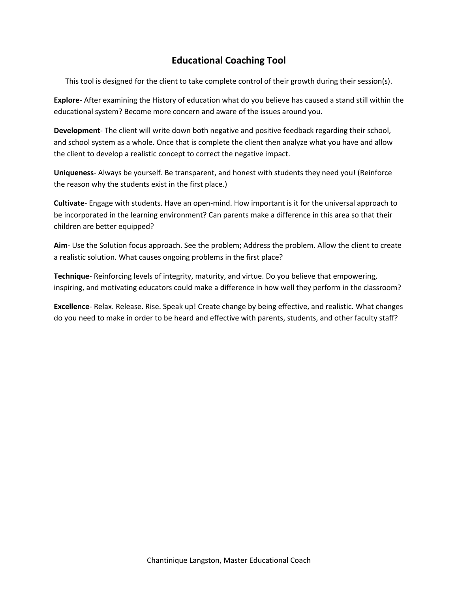# **Educational Coaching Tool**

This tool is designed for the client to take complete control of their growth during their session(s).

**Explore**- After examining the History of education what do you believe has caused a stand still within the educational system? Become more concern and aware of the issues around you.

**Development**- The client will write down both negative and positive feedback regarding their school, and school system as a whole. Once that is complete the client then analyze what you have and allow the client to develop a realistic concept to correct the negative impact.

**Uniqueness**- Always be yourself. Be transparent, and honest with students they need you! (Reinforce the reason why the students exist in the first place.)

**Cultivate**- Engage with students. Have an open-mind. How important is it for the universal approach to be incorporated in the learning environment? Can parents make a difference in this area so that their children are better equipped?

**Aim**- Use the Solution focus approach. See the problem; Address the problem. Allow the client to create a realistic solution. What causes ongoing problems in the first place?

**Technique**- Reinforcing levels of integrity, maturity, and virtue. Do you believe that empowering, inspiring, and motivating educators could make a difference in how well they perform in the classroom?

**Excellence**- Relax. Release. Rise. Speak up! Create change by being effective, and realistic. What changes do you need to make in order to be heard and effective with parents, students, and other faculty staff?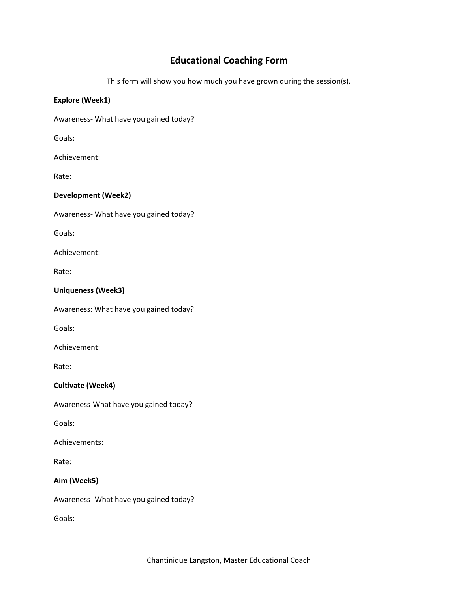## **Educational Coaching Form**

This form will show you how much you have grown during the session(s).

### **Explore (Week1)**

Awareness- What have you gained today?

Goals:

Achievement:

Rate:

## **Development (Week2)**

Awareness- What have you gained today?

Goals:

Achievement:

Rate:

## **Uniqueness (Week3)**

Awareness: What have you gained today?

Goals:

Achievement:

Rate:

### **Cultivate (Week4)**

Awareness-What have you gained today?

Goals:

Achievements:

Rate:

## **Aim (Week5)**

Awareness- What have you gained today?

Goals: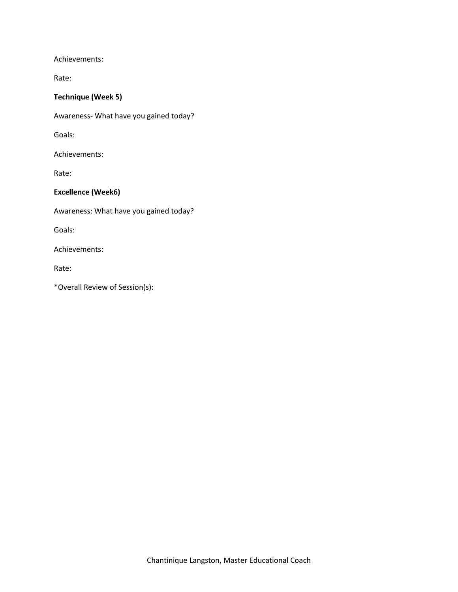Achievements:

Rate:

#### **Technique (Week 5)**

Awareness- What have you gained today?

Goals:

Achievements:

Rate:

#### **Excellence (Week6)**

Awareness: What have you gained today?

Goals:

Achievements:

Rate:

\*Overall Review of Session(s):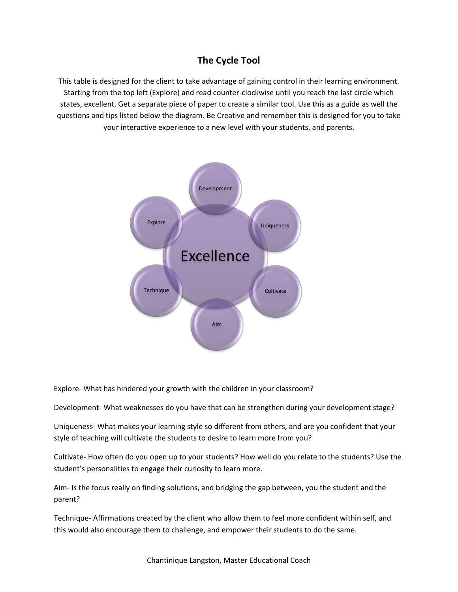# **The Cycle Tool**

This table is designed for the client to take advantage of gaining control in their learning environment. Starting from the top left (Explore) and read counter-clockwise until you reach the last circle which states, excellent. Get a separate piece of paper to create a similar tool. Use this as a guide as well the questions and tips listed below the diagram. Be Creative and remember this is designed for you to take your interactive experience to a new level with your students, and parents.



Explore- What has hindered your growth with the children in your classroom?

Development- What weaknesses do you have that can be strengthen during your development stage?

Uniqueness- What makes your learning style so different from others, and are you confident that your style of teaching will cultivate the students to desire to learn more from you?

Cultivate- How often do you open up to your students? How well do you relate to the students? Use the student's personalities to engage their curiosity to learn more.

Aim- Is the focus really on finding solutions, and bridging the gap between, you the student and the parent?

Technique- Affirmations created by the client who allow them to feel more confident within self, and this would also encourage them to challenge, and empower their students to do the same.